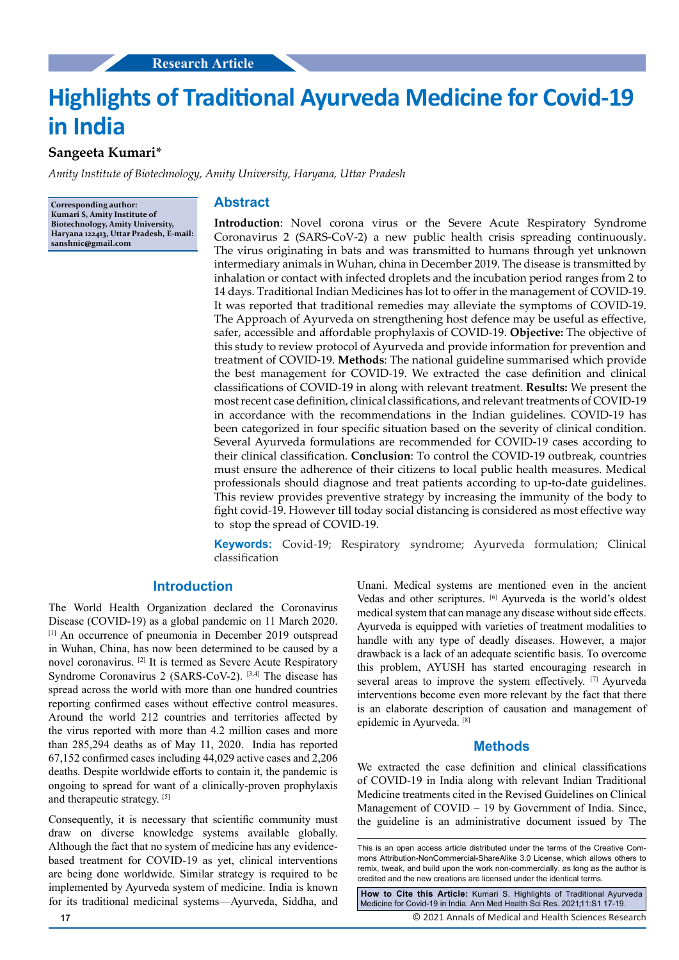# **Highlights of Traditional Ayurveda Medicine for Covid-19 in India**

# **Sangeeta Kumari\***

*Amity Institute of Biotechnology, Amity University, Haryana, Uttar Pradesh*

**Corresponding author: Kumari S, Amity Institute of Biotechnology, Amity University, Haryana 122413, Uttar Pradesh, E-mail: sanshnic@gmail.com**

#### **Abstract**

**Introduction**: Novel corona virus or the Severe Acute Respiratory Syndrome Coronavirus 2 (SARS-CoV-2) a new public health crisis spreading continuously. The virus originating in bats and was transmitted to humans through yet unknown intermediary animals in Wuhan, china in December 2019. The disease is transmitted by inhalation or contact with infected droplets and the incubation period ranges from 2 to 14 days. Traditional Indian Medicines has lot to offer in the management of COVID-19. It was reported that traditional remedies may alleviate the symptoms of COVID-19. The Approach of Ayurveda on strengthening host defence may be useful as effective, safer, accessible and affordable prophylaxis of COVID-19. **Objective:** The objective of this study to review protocol of Ayurveda and provide information for prevention and treatment of COVID-19. **Methods**: The national guideline summarised which provide the best management for COVID-19. We extracted the case definition and clinical classifications of COVID-19 in along with relevant treatment. **Results:** We present the most recent case definition, clinical classifications, and relevant treatments of COVID-19 in accordance with the recommendations in the Indian guidelines. COVID-19 has been categorized in four specific situation based on the severity of clinical condition. Several Ayurveda formulations are recommended for COVID-19 cases according to their clinical classification. **Conclusion**: To control the COVID-19 outbreak, countries must ensure the adherence of their citizens to local public health measures. Medical professionals should diagnose and treat patients according to up-to-date guidelines. This review provides preventive strategy by increasing the immunity of the body to fight covid-19. However till today social distancing is considered as most effective way to stop the spread of COVID-19.

**Keywords:** Covid-19; Respiratory syndrome; Ayurveda formulation; Clinical classification

## **Introduction**

The World Health Organization declared the Coronavirus Disease (COVID-19) as a global pandemic on 11 March 2020. [1] An occurrence of pneumonia in December 2019 outspread in Wuhan, China, has now been determined to be caused by a novel coronavirus. [2] It is termed as Severe Acute Respiratory Syndrome Coronavirus 2 (SARS-CoV-2).<sup>[3,4]</sup> The disease has spread across the world with more than one hundred countries reporting confirmed cases without effective control measures. Around the world 212 countries and territories affected by the virus reported with more than 4.2 million cases and more than 285,294 deaths as of May 11, 2020. India has reported 67,152 confirmed cases including 44,029 active cases and 2,206 deaths. Despite worldwide efforts to contain it, the pandemic is ongoing to spread for want of a clinically-proven prophylaxis and therapeutic strategy. [5]

Consequently, it is necessary that scientific community must draw on diverse knowledge systems available globally. Although the fact that no system of medicine has any evidencebased treatment for COVID-19 as yet, clinical interventions are being done worldwide. Similar strategy is required to be implemented by Ayurveda system of medicine. India is known for its traditional medicinal systems—Ayurveda, Siddha, and

Unani. Medical systems are mentioned even in the ancient Vedas and other scriptures. [6] Ayurveda is the world's oldest medical system that can manage any disease without side effects. Ayurveda is equipped with varieties of treatment modalities to handle with any type of deadly diseases. However, a major drawback is a lack of an adequate scientific basis. To overcome this problem, AYUSH has started encouraging research in several areas to improve the system effectively. [7] Ayurveda interventions become even more relevant by the fact that there is an elaborate description of causation and management of epidemic in Ayurveda. [8]

#### **Methods**

We extracted the case definition and clinical classifications of COVID-19 in India along with relevant Indian Traditional Medicine treatments cited in the Revised Guidelines on Clinical Management of COVID – 19 by Government of India. Since, the guideline is an administrative document issued by The

This is an open access article distributed under the terms of the Creative Commons Attribution-NonCommercial-ShareAlike 3.0 License, which allows others to remix, tweak, and build upon the work non-commercially, as long as the author is credited and the new creations are licensed under the identical terms.

**How to Cite this Article:** Kumari S. Highlights of Traditional Ayurveda Medicine for Covid-19 in India. Ann Med Health Sci Res. 2021;11:S1 17-19.

© 2021 Annals of Medical and Health Sciences Research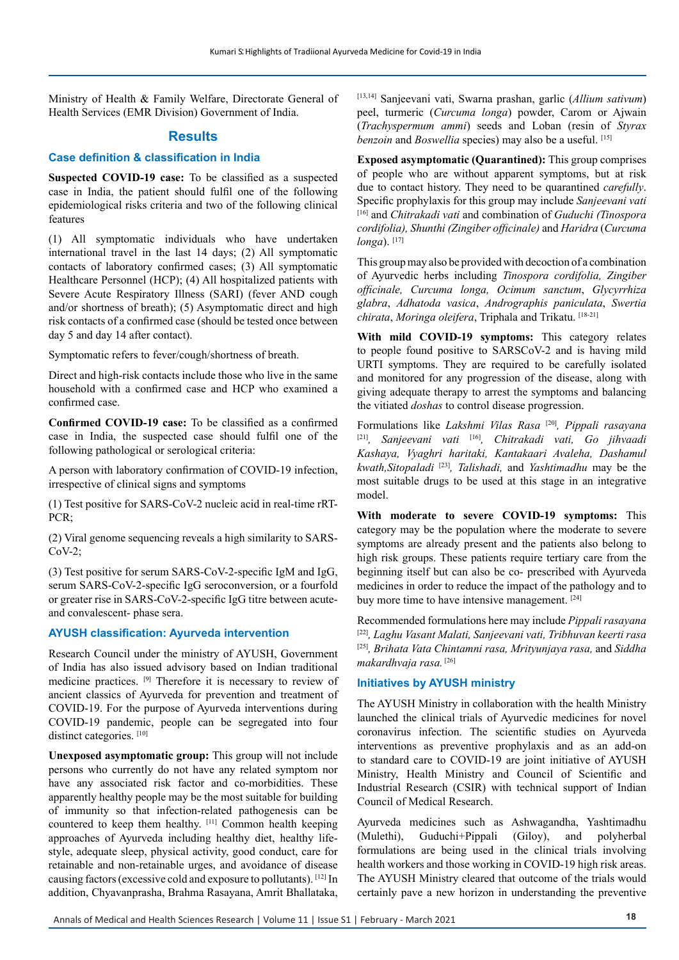Ministry of Health & Family Welfare, Directorate General of Health Services (EMR Division) Government of India.

## **Results**

#### **Case definition & classification in India**

**Suspected COVID-19 case:** To be classified as a suspected case in India, the patient should fulfil one of the following epidemiological risks criteria and two of the following clinical features

(1) All symptomatic individuals who have undertaken international travel in the last 14 days; (2) All symptomatic contacts of laboratory confirmed cases; (3) All symptomatic Healthcare Personnel (HCP); (4) All hospitalized patients with Severe Acute Respiratory Illness (SARI) (fever AND cough and/or shortness of breath); (5) Asymptomatic direct and high risk contacts of a confirmed case (should be tested once between day 5 and day 14 after contact).

Symptomatic refers to fever/cough/shortness of breath.

Direct and high-risk contacts include those who live in the same household with a confirmed case and HCP who examined a confirmed case.

**Confirmed COVID-19 case:** To be classified as a confirmed case in India, the suspected case should fulfil one of the following pathological or serological criteria:

A person with laboratory confirmation of COVID-19 infection, irrespective of clinical signs and symptoms

(1) Test positive for SARS-CoV-2 nucleic acid in real-time rRT-PCR;

(2) Viral genome sequencing reveals a high similarity to SARS- $CoV-2;$ 

(3) Test positive for serum SARS-CoV-2-specific IgM and IgG, serum SARS-CoV-2-specific IgG seroconversion, or a fourfold or greater rise in SARS-CoV-2-specific IgG titre between acuteand convalescent- phase sera.

#### **AYUSH classification: Ayurveda intervention**

Research Council under the ministry of AYUSH, Government of India has also issued advisory based on Indian traditional medicine practices. [9] Therefore it is necessary to review of ancient classics of Ayurveda for prevention and treatment of COVID-19. For the purpose of Ayurveda interventions during COVID-19 pandemic, people can be segregated into four distinct categories. [10]

**Unexposed asymptomatic group:** This group will not include persons who currently do not have any related symptom nor have any associated risk factor and co-morbidities. These apparently healthy people may be the most suitable for building of immunity so that infection-related pathogenesis can be countered to keep them healthy. [11] Common health keeping approaches of Ayurveda including healthy diet, healthy lifestyle, adequate sleep, physical activity, good conduct, care for retainable and non-retainable urges, and avoidance of disease causing factors (excessive cold and exposure to pollutants). [12] In addition, Chyavanprasha, Brahma Rasayana, Amrit Bhallataka,

[13,14] Sanjeevani vati, Swarna prashan, garlic (*Allium sativum*) peel, turmeric (*Curcuma longa*) powder, Carom or Ajwain (*Trachyspermum ammi*) seeds and Loban (resin of *Styrax benzoin* and *Boswellia* species) may also be a useful. [15]

**Exposed asymptomatic (Quarantined):** This group comprises of people who are without apparent symptoms, but at risk due to contact history. They need to be quarantined *carefully*. Specific prophylaxis for this group may include *Sanjeevani vati* [16] and *Chitrakadi vati* and combination of *Guduchi (Tinospora cordifolia), Shunthi (Zingiber officinale)* and *Haridra* (*Curcuma longa*). [17]

This group may also be provided with decoction of a combination of Ayurvedic herbs including *Tinospora cordifolia, Zingiber officinale, Curcuma longa, Ocimum sanctum*, *Glycyrrhiza glabra*, *Adhatoda vasica*, *Andrographis paniculata*, *Swertia chirata*, *Moringa oleifera*, Triphala and Trikatu. [18-21]

**With mild COVID-19 symptoms:** This category relates to people found positive to SARSCoV-2 and is having mild URTI symptoms. They are required to be carefully isolated and monitored for any progression of the disease, along with giving adequate therapy to arrest the symptoms and balancing the vitiated *doshas* to control disease progression.

Formulations like *Lakshmi Vilas Rasa* [20]*, Pippali rasayana*  [21]*, Sanjeevani vati* [16]*, Chitrakadi vati, Go jihvaadi Kashaya, Vyaghri haritaki, Kantakaari Avaleha, Dashamul kwath,Sitopaladi* [23]*, Talishadi,* and *Yashtimadhu* may be the most suitable drugs to be used at this stage in an integrative model.

**With moderate to severe COVID-19 symptoms:** This category may be the population where the moderate to severe symptoms are already present and the patients also belong to high risk groups. These patients require tertiary care from the beginning itself but can also be co- prescribed with Ayurveda medicines in order to reduce the impact of the pathology and to buy more time to have intensive management. [24]

Recommended formulations here may include *Pippali rasayana*  [22]*, Laghu Vasant Malati, Sanjeevani vati, Tribhuvan keerti rasa*  [25]*, Brihata Vata Chintamni rasa, Mrityunjaya rasa,* and *Siddha makardhvaja rasa.* [26]

## **Initiatives by AYUSH ministry**

The AYUSH Ministry in collaboration with the health Ministry launched the clinical trials of Ayurvedic medicines for novel coronavirus infection. The scientific studies on Ayurveda interventions as preventive prophylaxis and as an add-on to standard care to COVID-19 are joint initiative of AYUSH Ministry, Health Ministry and Council of Scientific and Industrial Research (CSIR) with technical support of Indian Council of Medical Research.

Ayurveda medicines such as Ashwagandha, Yashtimadhu (Mulethi), Guduchi+Pippali (Giloy), and polyherbal formulations are being used in the clinical trials involving health workers and those working in COVID-19 high risk areas. The AYUSH Ministry cleared that outcome of the trials would certainly pave a new horizon in understanding the preventive